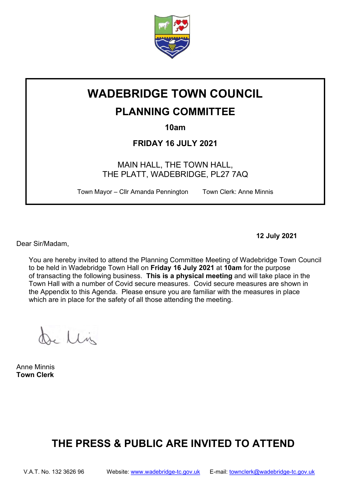

# WADEBRIDGE TOWN COUNCIL

## PLANNING COMMITTEE

10am

FRIDAY 16 JULY 2021

MAIN HALL, THE TOWN HALL, THE PLATT, WADEBRIDGE, PL27 7AQ

Town Mayor – Cllr Amanda Pennington Town Clerk: Anne Minnis

Dear Sir/Madam,

12 July 2021

You are hereby invited to attend the Planning Committee Meeting of Wadebridge Town Council to be held in Wadebridge Town Hall on Friday 16 July 2021 at 10am for the purpose of transacting the following business. This is a physical meeting and will take place in the Town Hall with a number of Covid secure measures. Covid secure measures are shown in the Appendix to this Agenda. Please ensure you are familiar with the measures in place which are in place for the safety of all those attending the meeting.

re Llis

Anne Minnis Town Clerk

# THE PRESS & PUBLIC ARE INVITED TO ATTEND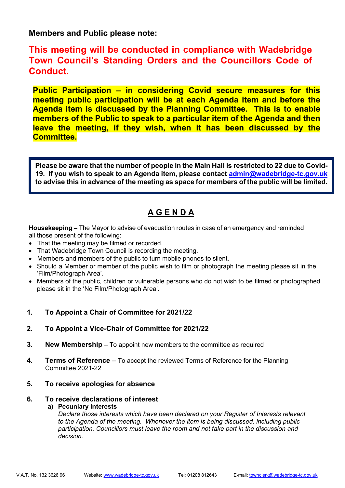Members and Public please note:

This meeting will be conducted in compliance with Wadebridge Town Council's Standing Orders and the Councillors Code of Conduct.

Public Participation – in considering Covid secure measures for this meeting public participation will be at each Agenda item and before the Agenda item is discussed by the Planning Committee. This is to enable members of the Public to speak to a particular item of the Agenda and then leave the meeting, if they wish, when it has been discussed by the Committee.

Please be aware that the number of people in the Main Hall is restricted to 22 due to Covid-19. If you wish to speak to an Agenda item, please contact admin@wadebridge-tc.gov.uk to advise this in advance of the meeting as space for members of the public will be limited.

### A G E N D A

Housekeeping – The Mayor to advise of evacuation routes in case of an emergency and reminded all those present of the following:

- That the meeting may be filmed or recorded.
- That Wadebridge Town Council is recording the meeting.
- Members and members of the public to turn mobile phones to silent.
- Should a Member or member of the public wish to film or photograph the meeting please sit in the 'Film/Photograph Area'.
- Members of the public, children or vulnerable persons who do not wish to be filmed or photographed please sit in the 'No Film/Photograph Area'.

#### 1. To Appoint a Chair of Committee for 2021/22

- 2. To Appoint a Vice-Chair of Committee for 2021/22
- **3.** New Membership  $-$  To appoint new members to the committee as required
- 4. Terms of Reference To accept the reviewed Terms of Reference for the Planning Committee 2021-22
- 5. To receive apologies for absence

#### 6. To receive declarations of interest

#### a) Pecuniary Interests

Declare those interests which have been declared on your Register of Interests relevant to the Agenda of the meeting. Whenever the item is being discussed, including public participation, Councillors must leave the room and not take part in the discussion and decision.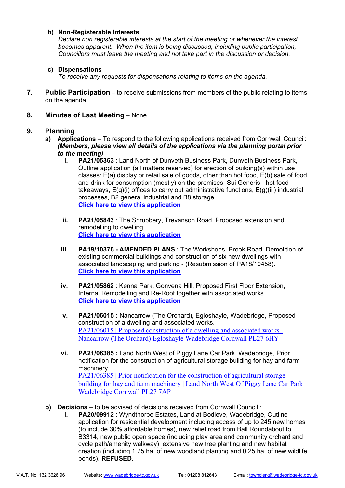#### b) Non-Registerable Interests

Declare non registerable interests at the start of the meeting or whenever the interest becomes apparent. When the item is being discussed, including public participation, Councillors must leave the meeting and not take part in the discussion or decision.

#### c) Dispensations

To receive any requests for dispensations relating to items on the agenda.

7. Public Participation – to receive submissions from members of the public relating to items on the agenda

#### 8. Minutes of Last Meeting – None

#### 9. Planning

- a) Applications To respond to the following applications received from Cornwall Council: (Members, please view all details of the applications via the planning portal prior to the meeting)
	- i. PA21/05363 : Land North of Dunveth Business Park, Dunveth Business Park, Outline application (all matters reserved) for erection of building(s) within use classes: E(a) display or retail sale of goods, other than hot food, E(b) sale of food and drink for consumption (mostly) on the premises, Sui Generis - hot food takeaways, E(g)(i) offices to carry out administrative functions, E(g)(iii) industrial processes, B2 general industrial and B8 storage. Click here to view this application
	- ii. PA21/05843 : The Shrubbery, Trevanson Road, Proposed extension and remodelling to dwelling. Click here to view this application
	- iii. PA19/10376 AMENDED PLANS: The Workshops, Brook Road, Demolition of existing commercial buildings and construction of six new dwellings with associated landscaping and parking - (Resubmission of PA18/10458). Click here to view this application
	- iv. PA21/05862 : Kenna Park, Gonvena Hill, Proposed First Floor Extension, Internal Remodelling and Re-Roof together with associated works. Click here to view this application
	- v. PA21/06015 : Nancarrow (The Orchard), Egloshayle, Wadebridge, Proposed construction of a dwelling and associated works. PA21/06015 | Proposed construction of a dwelling and associated works | Nancarrow (The Orchard) Egloshayle Wadebridge Cornwall PL27 6HY
	- vi. PA21/06385 : Land North West of Piggy Lane Car Park, Wadebridge, Prior notification for the construction of agricultural storage building for hay and farm machinery. PA21/06385 | Prior notification for the construction of agricultural storage building for hay and farm machinery | Land North West Of Piggy Lane Car Park Wadebridge Cornwall PL27 7AP
- b) Decisions to be advised of decisions received from Cornwall Council:
	- i. PA20/09912 : Wyndthorpe Estates, Land at Bodieve, Wadebridge, Outline application for residential development including access of up to 245 new homes (to include 30% affordable homes), new relief road from Ball Roundabout to B3314, new public open space (including play area and community orchard and cycle path/amenity walkway), extensive new tree planting and new habitat creation (including 1.75 ha. of new woodland planting and 0.25 ha. of new wildlife ponds). REFUSED.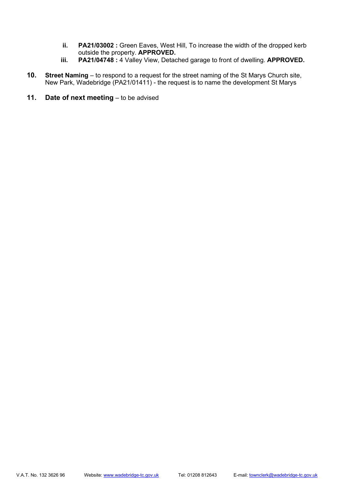- ii. PA21/03002 : Green Eaves, West Hill, To increase the width of the dropped kerb outside the property. APPROVED.
- iii. PA21/04748 : 4 Valley View, Detached garage to front of dwelling. APPROVED.
- 10. Street Naming to respond to a request for the street naming of the St Marys Church site, New Park, Wadebridge (PA21/01411) - the request is to name the development St Marys
- 11. Date of next meeting to be advised